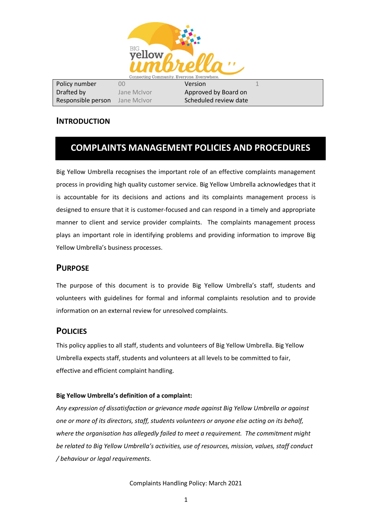

| Policy number      | OO          | Version               |  |
|--------------------|-------------|-----------------------|--|
| Drafted by         | Jane McIvor | Approved by Board on  |  |
| Responsible person | Jane McIvor | Scheduled review date |  |

## **INTRODUCTION**

# **COMPLAINTS MANAGEMENT POLICIES AND PROCEDURES**

Big Yellow Umbrella recognises the important role of an effective complaints management process in providing high quality customer service. Big Yellow Umbrella acknowledges that it is accountable for its decisions and actions and its complaints management process is designed to ensure that it is customer-focused and can respond in a timely and appropriate manner to client and service provider complaints. The complaints management process plays an important role in identifying problems and providing information to improve Big Yellow Umbrella's business processes.

## **PURPOSE**

The purpose of this document is to provide Big Yellow Umbrella's staff, students and volunteers with guidelines for formal and informal complaints resolution and to provide information on an external review for unresolved complaints.

## **POLICIES**

This policy applies to all staff, students and volunteers of Big Yellow Umbrella. Big Yellow Umbrella expects staff, students and volunteers at all levels to be committed to fair, effective and efficient complaint handling.

## **Big Yellow Umbrella's definition of a complaint:**

*Any expression of dissatisfaction or grievance made against Big Yellow Umbrella or against one or more of its directors, staff, students volunteers or anyone else acting on its behalf, where the organisation has allegedly failed to meet a requirement. The commitment might be related to Big Yellow Umbrella's activities, use of resources, mission, values, staff conduct / behaviour or legal requirements.*

Complaints Handling Policy: March 2021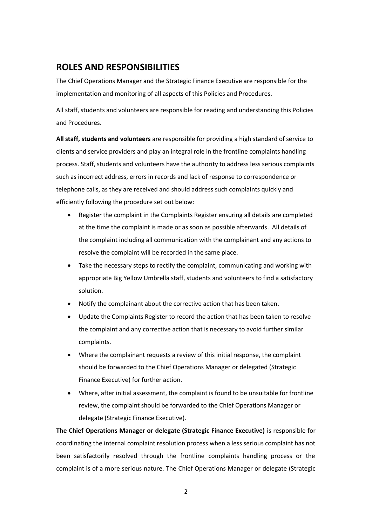## **ROLES AND RESPONSIBILITIES**

The Chief Operations Manager and the Strategic Finance Executive are responsible for the implementation and monitoring of all aspects of this Policies and Procedures.

All staff, students and volunteers are responsible for reading and understanding this Policies and Procedures.

**All staff, students and volunteers** are responsible for providing a high standard of service to clients and service providers and play an integral role in the frontline complaints handling process. Staff, students and volunteers have the authority to address less serious complaints such as incorrect address, errors in records and lack of response to correspondence or telephone calls, as they are received and should address such complaints quickly and efficiently following the procedure set out below:

- Register the complaint in the Complaints Register ensuring all details are completed at the time the complaint is made or as soon as possible afterwards. All details of the complaint including all communication with the complainant and any actions to resolve the complaint will be recorded in the same place.
- Take the necessary steps to rectify the complaint, communicating and working with appropriate Big Yellow Umbrella staff, students and volunteers to find a satisfactory solution.
- Notify the complainant about the corrective action that has been taken.
- Update the Complaints Register to record the action that has been taken to resolve the complaint and any corrective action that is necessary to avoid further similar complaints.
- Where the complainant requests a review of this initial response, the complaint should be forwarded to the Chief Operations Manager or delegated (Strategic Finance Executive) for further action.
- Where, after initial assessment, the complaint is found to be unsuitable for frontline review, the complaint should be forwarded to the Chief Operations Manager or delegate (Strategic Finance Executive).

**The Chief Operations Manager or delegate (Strategic Finance Executive)** is responsible for coordinating the internal complaint resolution process when a less serious complaint has not been satisfactorily resolved through the frontline complaints handling process or the complaint is of a more serious nature. The Chief Operations Manager or delegate (Strategic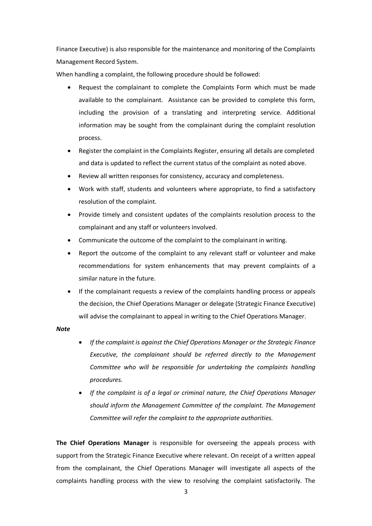Finance Executive) is also responsible for the maintenance and monitoring of the Complaints Management Record System.

When handling a complaint, the following procedure should be followed:

- Request the complainant to complete the Complaints Form which must be made available to the complainant. Assistance can be provided to complete this form, including the provision of a translating and interpreting service. Additional information may be sought from the complainant during the complaint resolution process.
- Register the complaint in the Complaints Register, ensuring all details are completed and data is updated to reflect the current status of the complaint as noted above.
- Review all written responses for consistency, accuracy and completeness.
- Work with staff, students and volunteers where appropriate, to find a satisfactory resolution of the complaint.
- Provide timely and consistent updates of the complaints resolution process to the complainant and any staff or volunteers involved.
- Communicate the outcome of the complaint to the complainant in writing.
- Report the outcome of the complaint to any relevant staff or volunteer and make recommendations for system enhancements that may prevent complaints of a similar nature in the future.
- If the complainant requests a review of the complaints handling process or appeals the decision, the Chief Operations Manager or delegate (Strategic Finance Executive) will advise the complainant to appeal in writing to the Chief Operations Manager.

#### *Note*

- *If the complaint is against the Chief Operations Manager or the Strategic Finance Executive, the complainant should be referred directly to the Management Committee who will be responsible for undertaking the complaints handling procedures.*
- *If the complaint is of a legal or criminal nature, the Chief Operations Manager should inform the Management Committee of the complaint. The Management Committee will refer the complaint to the appropriate authorities.*

**The Chief Operations Manager** is responsible for overseeing the appeals process with support from the Strategic Finance Executive where relevant. On receipt of a written appeal from the complainant, the Chief Operations Manager will investigate all aspects of the complaints handling process with the view to resolving the complaint satisfactorily. The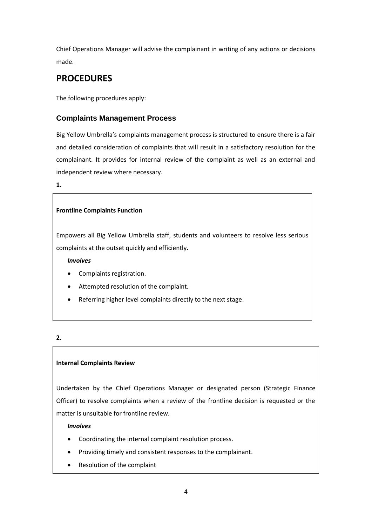Chief Operations Manager will advise the complainant in writing of any actions or decisions made.

# **PROCEDURES**

The following procedures apply:

## **Complaints Management Process**

Big Yellow Umbrella's complaints management process is structured to ensure there is a fair and detailed consideration of complaints that will result in a satisfactory resolution for the complainant. It provides for internal review of the complaint as well as an external and independent review where necessary.

**1.**

## **Frontline Complaints Function**

Empowers all Big Yellow Umbrella staff, students and volunteers to resolve less serious complaints at the outset quickly and efficiently.

*Involves*

- Complaints registration.
- Attempted resolution of the complaint.
- Referring higher level complaints directly to the next stage.

## **2.**

## **Internal Complaints Review**

Undertaken by the Chief Operations Manager or designated person (Strategic Finance Officer) to resolve complaints when a review of the frontline decision is requested or the matter is unsuitable for frontline review.

*Involves*

- Coordinating the internal complaint resolution process.
- Providing timely and consistent responses to the complainant.
- Resolution of the complaint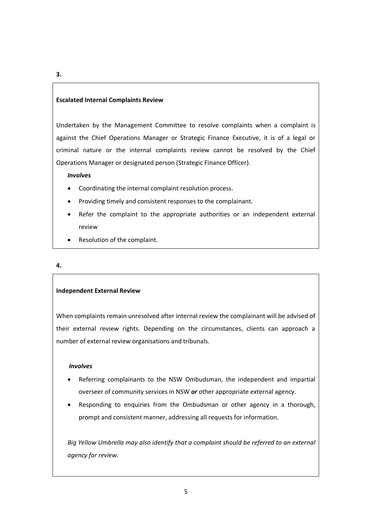#### **Escalated Internal Complaints Review**

Undertaken by the Management Committee to resolve complaints when a complaint is against the Chief Operations Manager or Strategic Finance Executive, it is of a legal or criminal nature or the internal complaints review cannot be resolved by the Chief Operations Manager or designated person (Strategic Finance Officer).

#### *Involves*

- Coordinating the internal complaint resolution process.
- Providing timely and consistent responses to the complainant.
- Refer the complaint to the appropriate authorities or an independent external review
- Resolution of the complaint.

#### **4.**

#### **Independent External Review**

When complaints remain unresolved after internal review the complainant will be advised of their external review rights. Depending on the circumstances, clients can approach a number of external review organisations and tribunals.

#### *Involves*

- Referring complainants to the NSW Ombudsman, the independent and impartial overseer of community services in NSW *or* other appropriate external agency.
- Responding to enquiries from the Ombudsman or other agency in a thorough, prompt and consistent manner, addressing all requests for information.

*Big Yellow Umbrella may also identify that a complaint should be referred to an external agency for review.*

#### **3.**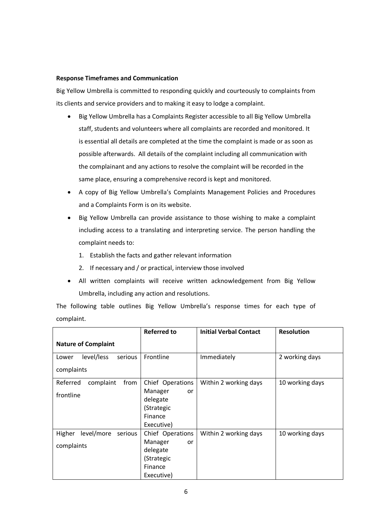#### **Response Timeframes and Communication**

Big Yellow Umbrella is committed to responding quickly and courteously to complaints from its clients and service providers and to making it easy to lodge a complaint.

- Big Yellow Umbrella has a Complaints Register accessible to all Big Yellow Umbrella staff, students and volunteers where all complaints are recorded and monitored. It is essential all details are completed at the time the complaint is made or as soon as possible afterwards. All details of the complaint including all communication with the complainant and any actions to resolve the complaint will be recorded in the same place, ensuring a comprehensive record is kept and monitored.
- A copy of Big Yellow Umbrella's Complaints Management Policies and Procedures and a Complaints Form is on its website.
- Big Yellow Umbrella can provide assistance to those wishing to make a complaint including access to a translating and interpreting service. The person handling the complaint needs to:
	- 1. Establish the facts and gather relevant information
	- 2. If necessary and / or practical, interview those involved
- All written complaints will receive written acknowledgement from Big Yellow Umbrella, including any action and resolutions.

The following table outlines Big Yellow Umbrella's response times for each type of complaint.

|                                 | <b>Referred to</b> | <b>Initial Verbal Contact</b> | <b>Resolution</b> |
|---------------------------------|--------------------|-------------------------------|-------------------|
| <b>Nature of Complaint</b>      |                    |                               |                   |
| serious<br>level/less<br>Lower  | Frontline          | Immediately                   | 2 working days    |
| complaints                      |                    |                               |                   |
| Referred<br>complaint<br>from   | Chief Operations   | Within 2 working days         | 10 working days   |
| frontline                       | Manager<br>or      |                               |                   |
|                                 | delegate           |                               |                   |
|                                 | (Strategic         |                               |                   |
|                                 | Finance            |                               |                   |
|                                 | Executive)         |                               |                   |
| Higher<br>level/more<br>serious | Chief Operations   | Within 2 working days         | 10 working days   |
|                                 | Manager<br>or      |                               |                   |
| complaints                      | delegate           |                               |                   |
|                                 | (Strategic         |                               |                   |
|                                 | Finance            |                               |                   |
|                                 | Executive)         |                               |                   |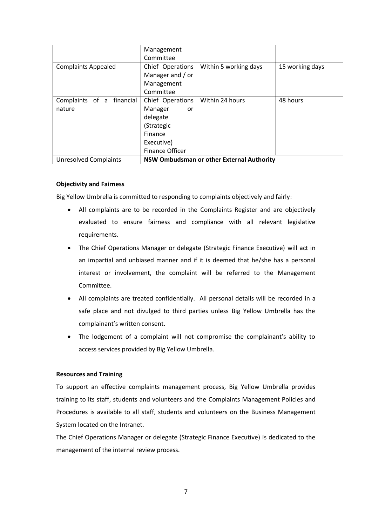|                                        | Management<br>Committee                                                                                        |                                           |                 |
|----------------------------------------|----------------------------------------------------------------------------------------------------------------|-------------------------------------------|-----------------|
| <b>Complaints Appealed</b>             | Chief Operations<br>Manager and / or<br>Management<br>Committee                                                | Within 5 working days                     | 15 working days |
| Complaints of a<br>financial<br>nature | Chief Operations<br>Manager<br>or<br>delegate<br>(Strategic<br>Finance<br>Executive)<br><b>Finance Officer</b> | Within 24 hours                           | 48 hours        |
| <b>Unresolved Complaints</b>           |                                                                                                                | NSW Ombudsman or other External Authority |                 |

#### **Objectivity and Fairness**

Big Yellow Umbrella is committed to responding to complaints objectively and fairly:

- All complaints are to be recorded in the Complaints Register and are objectively evaluated to ensure fairness and compliance with all relevant legislative requirements.
- The Chief Operations Manager or delegate (Strategic Finance Executive) will act in an impartial and unbiased manner and if it is deemed that he/she has a personal interest or involvement, the complaint will be referred to the Management Committee.
- All complaints are treated confidentially. All personal details will be recorded in a safe place and not divulged to third parties unless Big Yellow Umbrella has the complainant's written consent.
- The lodgement of a complaint will not compromise the complainant's ability to access services provided by Big Yellow Umbrella.

#### **Resources and Training**

To support an effective complaints management process, Big Yellow Umbrella provides training to its staff, students and volunteers and the Complaints Management Policies and Procedures is available to all staff, students and volunteers on the Business Management System located on the Intranet.

The Chief Operations Manager or delegate (Strategic Finance Executive) is dedicated to the management of the internal review process.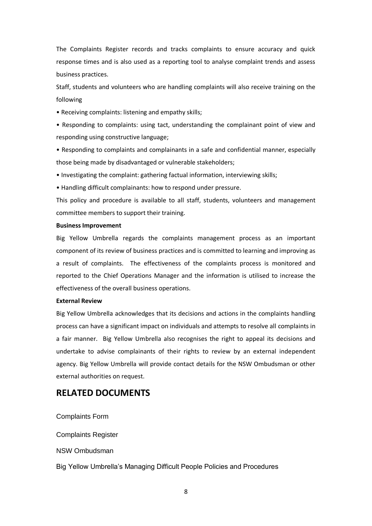The Complaints Register records and tracks complaints to ensure accuracy and quick response times and is also used as a reporting tool to analyse complaint trends and assess business practices.

Staff, students and volunteers who are handling complaints will also receive training on the following

• Receiving complaints: listening and empathy skills;

• Responding to complaints: using tact, understanding the complainant point of view and responding using constructive language;

• Responding to complaints and complainants in a safe and confidential manner, especially those being made by disadvantaged or vulnerable stakeholders;

• Investigating the complaint: gathering factual information, interviewing skills;

• Handling difficult complainants: how to respond under pressure.

This policy and procedure is available to all staff, students, volunteers and management committee members to support their training.

#### **Business Improvement**

Big Yellow Umbrella regards the complaints management process as an important component of its review of business practices and is committed to learning and improving as a result of complaints. The effectiveness of the complaints process is monitored and reported to the Chief Operations Manager and the information is utilised to increase the effectiveness of the overall business operations.

#### **External Review**

Big Yellow Umbrella acknowledges that its decisions and actions in the complaints handling process can have a significant impact on individuals and attempts to resolve all complaints in a fair manner. Big Yellow Umbrella also recognises the right to appeal its decisions and undertake to advise complainants of their rights to review by an external independent agency. Big Yellow Umbrella will provide contact details for the NSW Ombudsman or other external authorities on request.

## **RELATED DOCUMENTS**

[Complaints Form](file:///C:/Users/Administrator.WAC-R4KCF40S0OM/Forms%20&%20Templates/Corporate/Complaints%20Form.doc)

[Complaints Register](file://///cccdc01/Business%20Administration/Databases/Complaints%20Register.xlsx)

[NSW Ombudsman](http://www.ombo.nsw.gov.au/complaints)

Big Yellow Umbrella's Managing Difficult People Policies and Procedures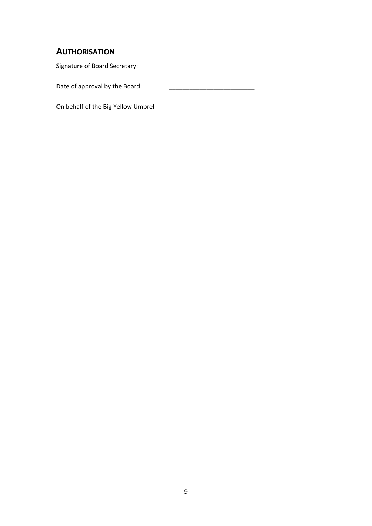## **AUTHORISATION**

Signature of Board Secretary:

Date of approval by the Board:

On behalf of the Big Yellow Umbrel